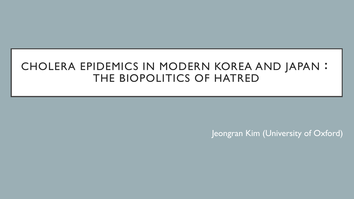# CHOLERA EPIDEMICS IN MODERN KOREA AND JAPAN: THE BIOPOLITICS OF HATRED

Jeongran Kim (University of Oxford)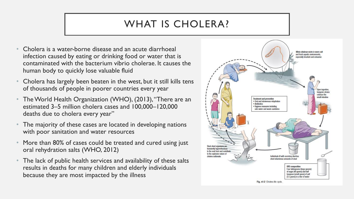# WHAT IS CHOLERA?

- Cholera is a water-borne disease and an acute diarrhoeal infection caused by eating or drinking food or water that is contaminated with the bacterium vibrio cholerae. It causes the human body to quickly lose valuable fluid
- Cholera has largely been beaten in the west, but it still kills tens of thousands of people in poorer countries every year
- The World Health Organization (WHO), (2013), "There are an estimated 3–5 million cholera cases and 100,000–120,000 deaths due to cholera every year"
- The majority of these cases are located in developing nations with poor sanitation and water resources
- More than 80% of cases could be treated and cured using just oral rehydration salts (WHO, 2012)
- The lack of public health services and availability of these salts results in deaths for many children and elderly individuals because they are most impacted by the illness

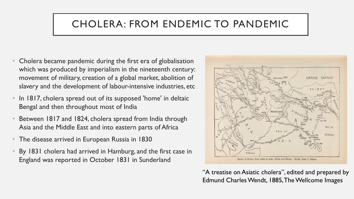# CHOLERA: FROM ENDEMIC TO PANDEMIC

- Cholera became pandemic during the first era of globalisation which was produced by imperialism in the nineteenth century: movement of military, creation of a global market, abolition of slavery and the development of labour-intensive industries, etc
- In 1817, cholera spread out of its supposed 'home' in deltaic Bengal and then throughout most of India
- Between 1817 and 1824, cholera spread from India through Asia and the Middle East and into eastern parts of Africa
- The disease arrived in European Russia in 1830
- By 1831 cholera had arrived in Hamburg, and the first case in England was reported in October 1831 in Sunderland



"A treatise on Asiatic cholera", edited and prepared by Edmund Charles Wendt, 1885, The Wellcome Images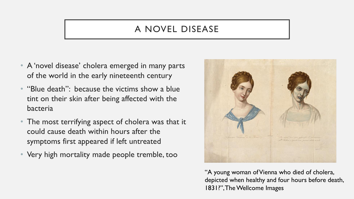## A NOVEL DISEASE

- A 'novel disease' cholera emerged in many parts of the world in the early nineteenth century
- "Blue death": because the victims show a blue tint on their skin after being affected with the bacteria
- The most terrifying aspect of cholera was that it could cause death within hours after the symptoms first appeared if left untreated
- Very high mortality made people tremble, too



"A young woman of Vienna who died of cholera, depicted when healthy and four hours before death, 1831?", The Wellcome Images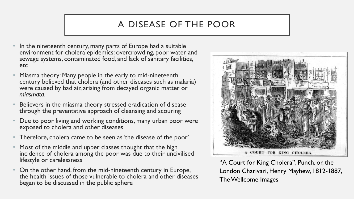## A DISEASE OF THE POOR

- In the nineteenth century, many parts of Europe had a suitable environment for cholera epidemics: overcrowding, poor water and sewage systems, contaminated food, and lack of sanitary facilities, etc
- Miasma theory: Many people in the early to mid-nineteenth century believed that cholera (and other diseases such as malaria) were caused by bad air, arising from decayed organic matter or *miasmata*.
- Believers in the miasma theory stressed eradication of disease through the preventative approach of cleansing and scouring
- Due to poor living and working conditions, many urban poor were exposed to cholera and other diseases
- Therefore, cholera came to be seen as 'the disease of the poor'
- Most of the middle and upper classes thought that the high incidence of cholera among the poor was due to their uncivilised lifestyle or carelessness
- On the other hand, from the mid-nineteenth century in Europe, the health issues of those vulnerable to cholera and other diseases began to be discussed in the public sphere



"A Court for King Cholera", Punch, or, the London Charivari, Henry Mayhew, 1812-1887, The Wellcome Images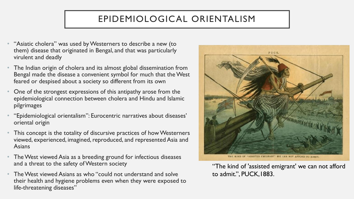## EPIDEMIOLOGICAL ORIENTALISM

- "Asiatic cholera" was used by Westerners to describe a new (to them) disease that originated in Bengal, and that was particularly virulent and deadly
- The Indian origin of cholera and its almost global dissemination from Bengal made the disease a convenient symbol for much that the West feared or despised about a society so different from its own
- One of the strongest expressions of this antipathy arose from the epidemiological connection between cholera and Hindu and Islamic pilgrimages
- "Epidemiological orientalism": Eurocentric narratives about diseases' oriental origin
- This concept is the totality of discursive practices of how Westerners viewed, experienced, imagined, reproduced, and represented Asia and Asians
- The West viewed Asia as a breeding ground for infectious diseases and a threat to the safety of Western society
- The West viewed Asians as who "could not understand and solve their health and hygiene problems even when they were exposed to life-threatening diseases"



"The kind of 'assisted emigrant' we can not afford to admit.", PUCK,1883.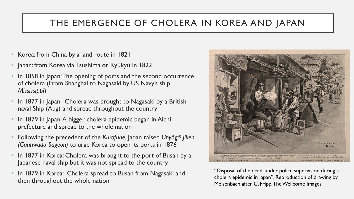#### THE EMERGENCE OF CHOLERA IN KOREA AND JAPAN

- Korea: from China by a land route in 1821
- Japan: from Korea via Tsushima or Ryūkyū in 1822
- In 1858 in Japan: The opening of ports and the second occurrence of cholera (From Shanghai to Nagasaki by US Navy's ship *Mississippi*)
- In 1877 in Japan: Cholera was brought to Nagasaki by a British naval Ship (Aug) and spread throughout the country
- In 1879 in Japan: A bigger cholera epidemic began in Aichi prefecture and spread to the whole nation
- Following the precedent of the *Kurofune,* Japan raised *Unyōgō Jiken (Ganhwado Sageon)* to urge Korea to open its ports in 1876
- In 1877 in Korea: Cholera was brought to the port of Busan by a Japanese naval ship but it was not spread to the country
- In 1879 in Korea: Cholera spread to Busan from Nagasaki and then throughout the whole nation



"Disposal of the dead, under police supervision during a cholera epidemic in Japan", Reproduction of drawing by Meisenbach after C. Fripp, The Wellcome Images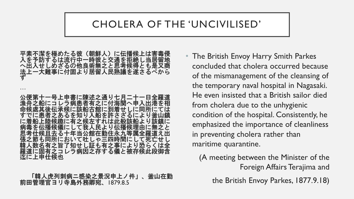# CHOLERA OF THE 'UNCIVILISED'

平素不潔を極めたる彼(朝鮮人)に伝播候上は害毒侵 入を予防するは流行中一時彼と交通を拒絶し当居留地 へ出入せしめざるの他良術無之と思考候得とも是又商 法上一大難事に付固より居留人民熟議を遂さるべから ず … 公便第十一号上申書に陳述之通り七月二十一日全羅道 漁舟之船にコレラ病患者有之に付海関へ申入出港を相 命候處其後伝承候に該船古館に到着せしに同所にては すでに患者之あるを知り入船を許さざるにより釜山鎮 に着船上陸候趣に有之候左すれは此般該船 病毒を伝播候儀にして我人民より伝播候理由に無之と **る十年当公館在勤住永九等属全羅道** 張之節も同所において吐しゃ三四時間にして死亡せ **.有之旨了知せし証も有之事により** 羅道に固有之コレラ病因之存する儀と被存候此段御含 迄に上申仕候也

「韓人虎列刺病ニ感染之景況申上ノ件」、釜山在勤 前田管理官ヨリ寺島外務卿宛、1879.8.5

• The British Envoy Harry Smith Parkes concluded that cholera occurred because of the mismanagement of the cleansing of the temporary naval hospital in Nagasaki. He even insisted that a British sailor died from cholera due to the unhygienic condition of the hospital. Consistently, he emphasized the importance of cleanliness in preventing cholera rather than maritime quarantine.

(A meeting between the Minister of the Foreign Affairs Terajima and

the British Envoy Parkes, 1877.9.18)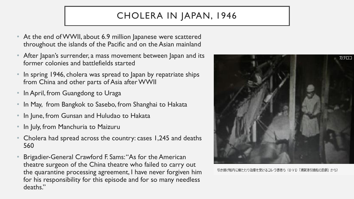# CHOLERA IN JAPAN, 1946

- At the end of WWII, about 6.9 million Japanese were scattered throughout the islands of the Pacific and on the Asian mainland
- After Japan's surrender, a mass movement between Japan and its former colonies and battlefields started
- In spring 1946, cholera was spread to Japan by repatriate ships from China and other parts of Asia after WWII
- In April, from Guangdong to Uraga
- In May, from Bangkok to Sasebo, from Shanghai to Hakata
- In June, from Gunsan and Huludao to Hakata
- In July, from Manchuria to Maizuru
- Cholera had spread across the country: cases 1,245 and deaths 560
- Brigadier-General Crawford F. Sams: "As for the American theatre surgeon of the China theatre who failed to carry out the quarantine processing agreement, I have never forgiven him for his responsibility for this episode and for so many needless deaths."



引き揚げ船内に横たわり治療を受けるコレラ患者ら(DVD「浦賀港引揚船の悲劇」から)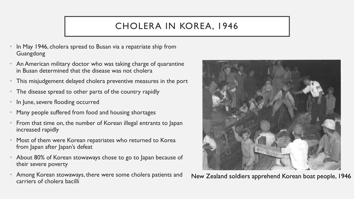# CHOLERA IN KOREA, 1946

- In May 1946, cholera spread to Busan via a repatriate ship from Guangdong
- An American military doctor who was taking charge of quarantine in Busan determined that the disease was not cholera
- This misjudgement delayed cholera preventive measures in the port
- The disease spread to other parts of the country rapidly
- In June, severe flooding occurred
- Many people suffered from food and housing shortages
- From that time on, the number of Korean illegal entrants to Japan increased rapidly
- Most of them were Korean repatriates who returned to Korea from Japan after Japan's defeat
- About 80% of Korean stowaways chose to go to Japan because of their severe poverty
- Among Korean stowaways, there were some cholera patients and carriers of cholera bacilli



New Zealand soldiers apprehend Korean boat people, 1946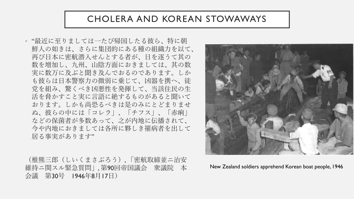#### CHOLERA AND KOREAN STOWAWAYS

• "最近に至りましては一たび帰国したる彼ら、特に朝 鮮人の如きは、さらに集団的にある種の組織力を以て、 再び日本に密航潜入せんとする者が、日を逐うて其の 数を増加し、九州、山陰方面におきましては、其の数 実に数万に及ぶと聞き及んでおるのであります。しか も彼らは日本警察力の微弱に乗じて、凶器を携へ、徒 党を組み、驚くべき凶悪性を発揮して、当該住民の生 活を脅かすこと実に言語に絶するものがあると聞いて おります。しかも尚恐るべきは是のみにとどまりませ ぬ、彼らの中には「コレラ」、「チフス」、「赤痢」 などの保菌者が多数あって、之が内地に伝播されて、 今や内地におきましては各所に夥しき罹病者を出して 居る事実があります"

(椎熊三郎(しいくまさぶろう), 「密航取締並ニ治安 維持ニ関スル緊急質問」, 第90回帝国議会 衆議院 本 会議 第30号 1946年8月17日)



New Zealand soldiers apprehend Korean boat people, 1946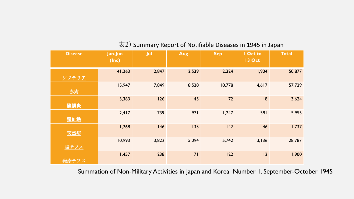| <b>Disease</b> | Jan-Jun<br>(Inc) | Jul   | Aug    | <b>Sep</b> | I Oct to<br><b>13 Oct</b> | Total  |
|----------------|------------------|-------|--------|------------|---------------------------|--------|
| ジフテリア          | 41,263           | 2,847 | 2,539  | 2,324      | 1,904                     | 50,877 |
| 赤痢             | 15,947           | 7,849 | 18,520 | 10,778     | 4,617                     | 57,729 |
| 脳膜炎            | 3,363            | 126   | 45     | 72         | 18                        | 3,624  |
| 猩紅熱            | 2,417            | 739   | 971    | 1,247      | 581                       | 5,955  |
| 天然痘            | 1,268            | 146   | 135    | 142        | 46                        | 1,737  |
| 腸チフス           | 10,993           | 3,822 | 5,094  | 5,742      | 3,136                     | 28,787 |
| 発疹チフス          | 1,457            | 238   | 71     | 122        | 2                         | 1,900  |

#### 表2) Summary Report of Notifiable Diseases in 1945 in Japan

Summation of Non-Military Activities in Japan and Korea Number 1. September-October 1945